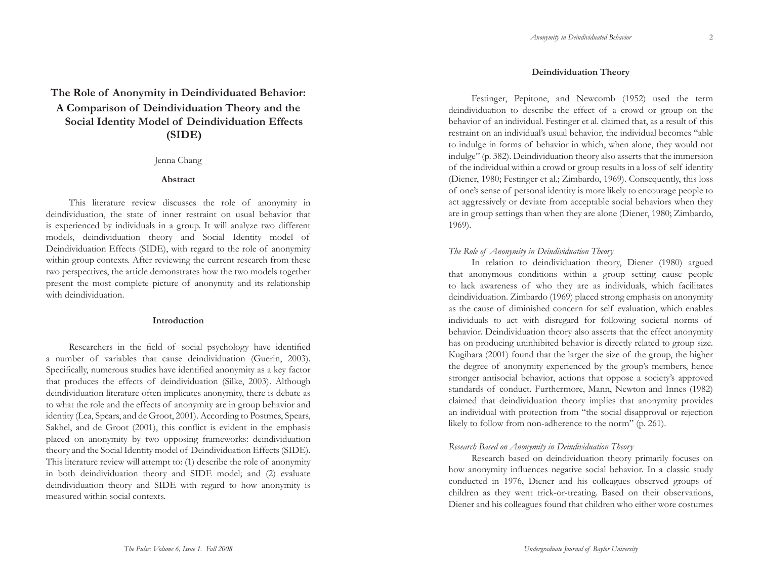2

# **The Role of Anonymity in Deindividuated Behavior: A Comparison of Deindividuation Theory and the Social Identity Model of Deindividuation Effects (SIDE)**

### Jenna Chang

# **Abstract**

This literature review discusses the role of anonymity in deindividuation, the state of inner restraint on usual behavior that is experienced by individuals in a group. It will analyze two different models, deindividuation theory and Social Identity model of Deindividuation Effects (SIDE), with regard to the role of anonymity within group contexts. After reviewing the current research from these two perspectives, the article demonstrates how the two models together present the most complete picture of anonymity and its relationship with deindividuation.

### **Introduction**

Researchers in the field of social psychology have identified a number of variables that cause deindividuation (Guerin, 2003). Specifically, numerous studies have identified anonymity as a key factor that produces the effects of deindividuation (Silke, 2003). Although deindividuation literature often implicates anonymity, there is debate as to what the role and the effects of anonymity are in group behavior and identity (Lea, Spears, and de Groot, 2001). According to Postmes, Spears, Sakhel, and de Groot (2001), this conflict is evident in the emphasis placed on anonymity by two opposing frameworks: deindividuation theory and the Social Identity model of Deindividuation Effects (SIDE). This literature review will attempt to: (1) describe the role of anonymity in both deindividuation theory and SIDE model; and (2) evaluate deindividuation theory and SIDE with regard to how anonymity is measured within social contexts.

# **Deindividuation Theory**

Festinger, Pepitone, and Newcomb (1952) used the term deindividuation to describe the effect of a crowd or group on the behavior of an individual. Festinger et al. claimed that, as a result of this restraint on an individual's usual behavior, the individual becomes "able to indulge in forms of behavior in which, when alone, they would not indulge" (p. 382). Deindividuation theory also asserts that the immersion of the individual within a crowd or group results in a loss of self identity (Diener, 1980; Festinger et al.; Zimbardo, 1969). Consequently, this loss of one's sense of personal identity is more likely to encourage people to act aggressively or deviate from acceptable social behaviors when they are in group settings than when they are alone (Diener, 1980; Zimbardo, 1969).

# *The Role of Anonymity in Deindividuation Theory*

In relation to deindividuation theory, Diener (1980) argued that anonymous conditions within a group setting cause people to lack awareness of who they are as individuals, which facilitates deindividuation. Zimbardo (1969) placed strong emphasis on anonymity as the cause of diminished concern for self evaluation, which enables individuals to act with disregard for following societal norms of behavior. Deindividuation theory also asserts that the effect anonymity has on producing uninhibited behavior is directly related to group size. Kugihara (2001) found that the larger the size of the group, the higher the degree of anonymity experienced by the group's members, hence stronger antisocial behavior, actions that oppose a society's approved standards of conduct. Furthermore, Mann, Newton and Innes (1982) claimed that deindividuation theory implies that anonymity provides an individual with protection from "the social disapproval or rejection likely to follow from non-adherence to the norm" (p. 261).

# *Research Based on Anonymity in Deindividuation Theory*

Research based on deindividuation theory primarily focuses on how anonymity influences negative social behavior. In a classic study conducted in 1976, Diener and his colleagues observed groups of children as they went trick-or-treating. Based on their observations, Diener and his colleagues found that children who either wore costumes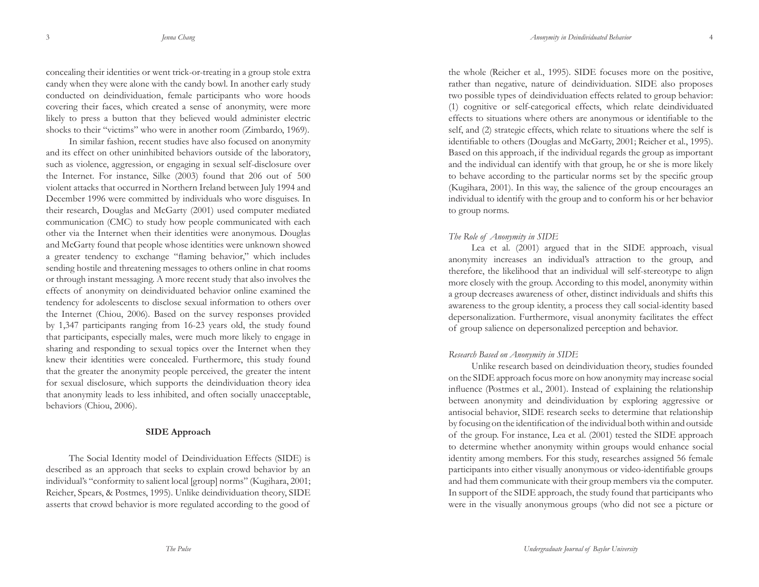3

concealing their identities or went trick-or-treating in a group stole extra candy when they were alone with the candy bowl. In another early study conducted on deindividuation, female participants who wore hoods covering their faces, which created a sense of anonymity, were more likely to press a button that they believed would administer electric shocks to their "victims" who were in another room (Zimbardo, 1969).

In similar fashion, recent studies have also focused on anonymity and its effect on other uninhibited behaviors outside of the laboratory, such as violence, aggression, or engaging in sexual self-disclosure over the Internet. For instance, Silke (2003) found that 206 out of 500 violent attacks that occurred in Northern Ireland between July 1994 and December 1996 were committed by individuals who wore disguises. In their research, Douglas and McGarty (2001) used computer mediated communication (CMC) to study how people communicated with each other via the Internet when their identities were anonymous. Douglas and McGarty found that people whose identities were unknown showed a greater tendency to exchange "flaming behavior," which includes sending hostile and threatening messages to others online in chat rooms or through instant messaging. A more recent study that also involves the effects of anonymity on deindividuated behavior online examined the tendency for adolescents to disclose sexual information to others over the Internet (Chiou, 2006). Based on the survey responses provided by 1,347 participants ranging from 16-23 years old, the study found that participants, especially males, were much more likely to engage in sharing and responding to sexual topics over the Internet when they knew their identities were concealed. Furthermore, this study found that the greater the anonymity people perceived, the greater the intent for sexual disclosure, which supports the deindividuation theory idea that anonymity leads to less inhibited, and often socially unacceptable, behaviors (Chiou, 2006).

#### **SIDE Approach**

The Social Identity model of Deindividuation Effects (SIDE) is described as an approach that seeks to explain crowd behavior by an individual's "conformity to salient local [group] norms" (Kugihara, 2001; Reicher, Spears, & Postmes, 1995). Unlike deindividuation theory, SIDE asserts that crowd behavior is more regulated according to the good of

the whole (Reicher et al., 1995). SIDE focuses more on the positive, rather than negative, nature of deindividuation. SIDE also proposes two possible types of deindividuation effects related to group behavior: (1) cognitive or self-categorical effects, which relate deindividuated effects to situations where others are anonymous or identifiable to the self, and (2) strategic effects, which relate to situations where the self is identi fi able to others (Douglas and McGarty, 2001; Reicher et al., 1995). Based on this approach, if the individual regards the group as important and the individual can identify with that group, he or she is more likely to behave according to the particular norms set by the specific group (Kugihara, 2001). In this way, the salience of the group encourages an individual to identify with the group and to conform his or her behavior to group norms.

#### *The Role of Anonymity in SIDE*

Lea et al. (2001) argued that in the SIDE approach, visual anonymity increases an individual's attraction to the group, and therefore, the likelihood that an individual will self-stereotype to align more closely with the group. According to this model, anonymity within a group decreases awareness of other, distinct individuals and shifts this awareness to the group identity, a process they call social-identity based depersonalization. Furthermore, visual anonymity facilitates the effect of group salience on depersonalized perception and behavior.

#### *Research Based on Anonymity in SIDE*

Unlike research based on deindividuation theory, studies founded on the SIDE approach focus more on how anonymity may increase social infl uence (Postmes et al., 2001). Instead of explaining the relationship between anonymity and deindividuation by exploring aggressive or antisocial behavior, SIDE research seeks to determine that relationship by focusing on the identification of the individual both within and outside of the group. For instance, Lea et al. (2001) tested the SIDE approach to determine whether anonymity within groups would enhance social identity among members. For this study, researches assigned 56 female participants into either visually anonymous or video-identifiable groups and had them communicate with their group members via the computer. In support of the SIDE approach, the study found that participants who were in the visually anonymous groups (who did not see a picture or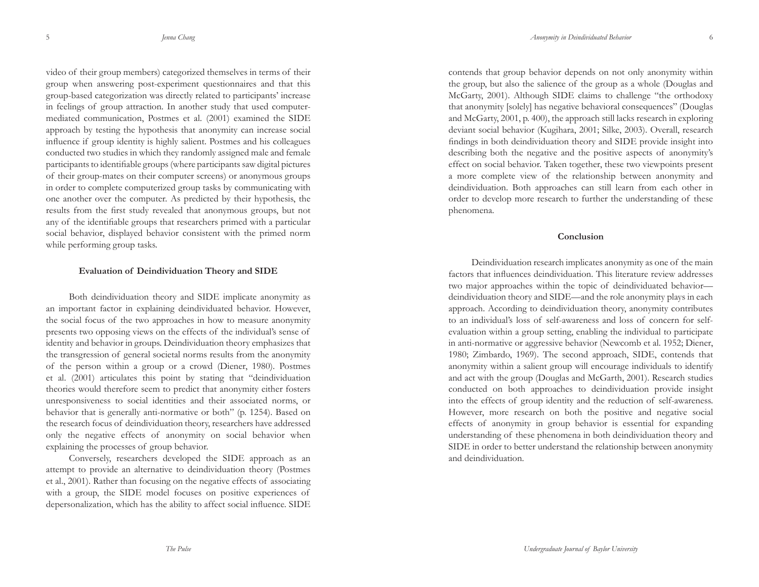video of their group members) categorized themselves in terms of their group when answering post-experiment questionnaires and that this group-based categorization was directly related to participants' increase in feelings of group attraction. In another study that used computermediated communication, Postmes et al. (2001) examined the SIDE approach by testing the hypothesis that anonymity can increase social influence if group identity is highly salient. Postmes and his colleagues conducted two studies in which they randomly assigned male and female participants to identifiable groups (where participants saw digital pictures of their group-mates on their computer screens) or anonymous groups in order to complete computerized group tasks by communicating with one another over the computer. As predicted by their hypothesis, the results from the first study revealed that anonymous groups, but not any of the identifiable groups that researchers primed with a particular social behavior, displayed behavior consistent with the primed norm while performing group tasks.

#### **Evaluation of Deindividuation Theory and SIDE**

Both deindividuation theory and SIDE implicate anonymity as an important factor in explaining deindividuated behavior. However, the social focus of the two approaches in how to measure anonymity presents two opposing views on the effects of the individual's sense of identity and behavior in groups. Deindividuation theory emphasizes that the transgression of general societal norms results from the anonymity of the person within a group or a crowd (Diener, 1980). Postmes et al. (2001) articulates this point by stating that "deindividuation theories would therefore seem to predict that anonymity either fosters unresponsiveness to social identities and their associated norms, or behavior that is generally anti-normative or both" (p. 1254). Based on the research focus of deindividuation theory, researchers have addressed only the negative effects of anonymity on social behavior when explaining the processes of group behavior.

Conversely, researchers developed the SIDE approach as an attempt to provide an alternative to deindividuation theory (Postmes et al., 2001). Rather than focusing on the negative effects of associating with a group, the SIDE model focuses on positive experiences of depersonalization, which has the ability to affect social influence. SIDE

contends that group behavior depends on not only anonymity within the group, but also the salience of the group as a whole (Douglas and McGarty, 2001). Although SIDE claims to challenge "the orthodoxy that anonymity [solely] has negative behavioral consequences" (Douglas and McGarty, 2001, p. 400), the approach still lacks research in exploring deviant social behavior (Kugihara, 2001; Silke, 2003). Overall, research findings in both deindividuation theory and SIDE provide insight into describing both the negative and the positive aspects of anonymity's effect on social behavior. Taken together, these two viewpoints present a more complete view of the relationship between anonymity and deindividuation. Both approaches can still learn from each other in order to develop more research to further the understanding of these phenomena.

#### **Conclusion**

Deindividuation research implicates anonymity as one of the main factors that influences deindividuation. This literature review addresses two major approaches within the topic of deindividuated behavior deindividuation theory and SIDE—and the role anonymity plays in each approach. According to deindividuation theory, anonymity contributes to an individual's loss of self-awareness and loss of concern for selfevaluation within a group setting, enabling the individual to participate in anti-normative or aggressive behavior (Newcomb et al. 1952; Diener, 1980; Zimbardo, 1969). The second approach, SIDE, contends that anonymity within a salient group will encourage individuals to identify and act with the group (Douglas and McGarth, 2001). Research studies conducted on both approaches to deindividuation provide insight into the effects of group identity and the reduction of self-awareness. However, more research on both the positive and negative social effects of anonymity in group behavior is essential for expanding understanding of these phenomena in both deindividuation theory and SIDE in order to better understand the relationship between anonymity and deindividuation.